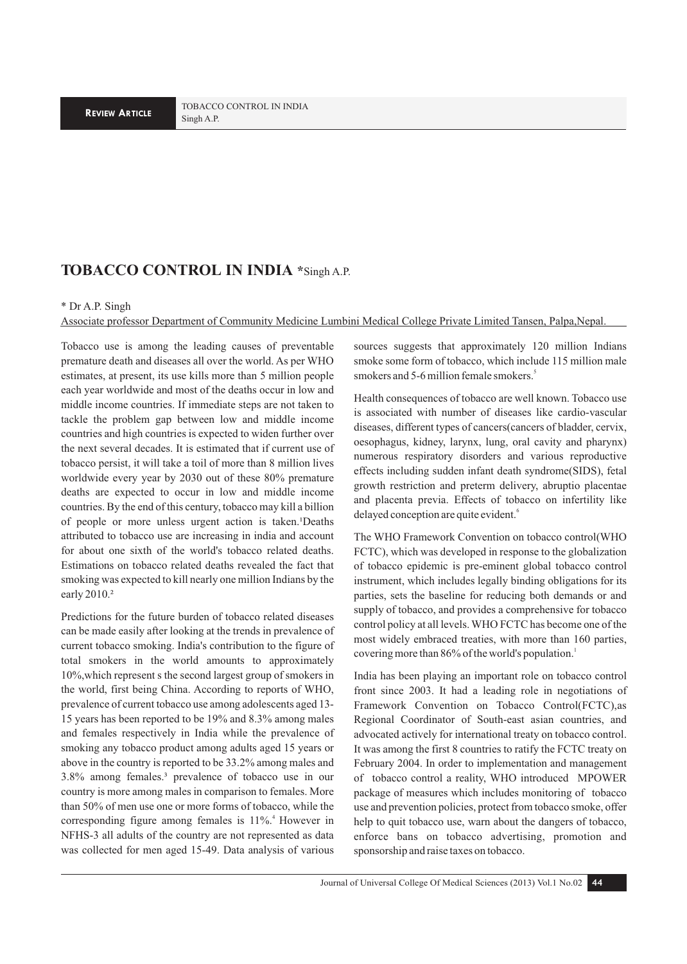## **TOBACCO CONTROL IN INDIA \***Singh A.P.

## \* Dr A.P. Singh

Associate professor Department of Community Medicine Lumbini Medical College Private Limited Tansen, Palpa,Nepal.

Tobacco use is among the leading causes of preventable premature death and diseases all over the world. As per WHO estimates, at present, its use kills more than 5 million people each year worldwide and most of the deaths occur in low and middle income countries. If immediate steps are not taken to tackle the problem gap between low and middle income countries and high countries is expected to widen further over the next several decades. It is estimated that if current use of tobacco persist, it will take a toil of more than 8 million lives worldwide every year by 2030 out of these 80% premature deaths are expected to occur in low and middle income countries. By the end of this century, tobacco may kill a billion of people or more unless urgent action is taken.<sup>1</sup>Deaths attributed to tobacco use are increasing in india and account for about one sixth of the world's tobacco related deaths. Estimations on tobacco related deaths revealed the fact that smoking was expected to kill nearly one million Indians by the early 2010.²

Predictions for the future burden of tobacco related diseases can be made easily after looking at the trends in prevalence of current tobacco smoking. India's contribution to the figure of total smokers in the world amounts to approximately 10%,which represent s the second largest group of smokers in the world, first being China. According to reports of WHO, prevalence of current tobacco use among adolescents aged 13- 15 years has been reported to be 19% and 8.3% among males and females respectively in India while the prevalence of smoking any tobacco product among adults aged 15 years or above in the country is reported to be 33.2% among males and 3.8% among females.³ prevalence of tobacco use in our country is more among males in comparison to females. More than 50% of men use one or more forms of tobacco, while the corresponding figure among females is 11%.<sup>4</sup> However in NFHS-3 all adults of the country are not represented as data was collected for men aged 15-49. Data analysis of various

sources suggests that approximately 120 million Indians smoke some form of tobacco, which include 115 million male smokers and 5-6 million female smokers.<sup>5</sup>

Health consequences of tobacco are well known. Tobacco use is associated with number of diseases like cardio-vascular diseases, different types of cancers(cancers of bladder, cervix, oesophagus, kidney, larynx, lung, oral cavity and pharynx) numerous respiratory disorders and various reproductive effects including sudden infant death syndrome(SIDS), fetal growth restriction and preterm delivery, abruptio placentae and placenta previa. Effects of tobacco on infertility like delayed conception are quite evident.<sup>6</sup>

The WHO Framework Convention on tobacco control(WHO FCTC), which was developed in response to the globalization of tobacco epidemic is pre-eminent global tobacco control instrument, which includes legally binding obligations for its parties, sets the baseline for reducing both demands or and supply of tobacco, and provides a comprehensive for tobacco control policy at all levels. WHO FCTC has become one of the most widely embraced treaties, with more than 160 parties, covering more than 86% of the world's population.<sup>1</sup>

India has been playing an important role on tobacco control front since 2003. It had a leading role in negotiations of Framework Convention on Tobacco Control(FCTC),as Regional Coordinator of South-east asian countries, and advocated actively for international treaty on tobacco control. It was among the first 8 countries to ratify the FCTC treaty on February 2004. In order to implementation and management of tobacco control a reality, WHO introduced MPOWER package of measures which includes monitoring of tobacco use and prevention policies, protect from tobacco smoke, offer help to quit tobacco use, warn about the dangers of tobacco, enforce bans on tobacco advertising, promotion and sponsorship and raise taxes on tobacco.